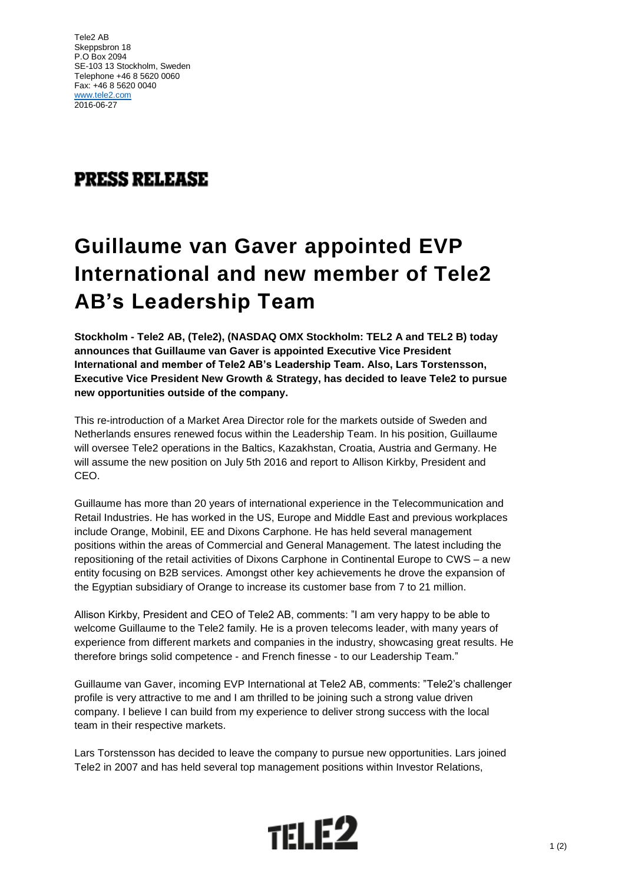Tele2 AB Skeppsbron 18 P.O Box 2094 SE-103 13 Stockholm, Sweden Telephone +46 8 5620 0060 Fax: +46 8 5620 0040 [www.tele2.com](http://www.tele2.com/) 2016-06-27

## **PRESS RELEASE**

## **Guillaume van Gaver appointed EVP International and new member of Tele2 AB's Leadership Team**

**Stockholm - Tele2 AB, (Tele2), (NASDAQ OMX Stockholm: TEL2 A and TEL2 B) today announces that Guillaume van Gaver is appointed Executive Vice President International and member of Tele2 AB's Leadership Team. Also, Lars Torstensson, Executive Vice President New Growth & Strategy, has decided to leave Tele2 to pursue new opportunities outside of the company.** 

This re-introduction of a Market Area Director role for the markets outside of Sweden and Netherlands ensures renewed focus within the Leadership Team. In his position, Guillaume will oversee Tele2 operations in the Baltics, Kazakhstan, Croatia, Austria and Germany. He will assume the new position on July 5th 2016 and report to Allison Kirkby, President and CEO.

Guillaume has more than 20 years of international experience in the Telecommunication and Retail Industries. He has worked in the US, Europe and Middle East and previous workplaces include Orange, Mobinil, EE and Dixons Carphone. He has held several management positions within the areas of Commercial and General Management. The latest including the repositioning of the retail activities of Dixons Carphone in Continental Europe to CWS – a new entity focusing on B2B services. Amongst other key achievements he drove the expansion of the Egyptian subsidiary of Orange to increase its customer base from 7 to 21 million.

Allison Kirkby, President and CEO of Tele2 AB, comments: "I am very happy to be able to welcome Guillaume to the Tele2 family. He is a proven telecoms leader, with many years of experience from different markets and companies in the industry, showcasing great results. He therefore brings solid competence - and French finesse - to our Leadership Team."

Guillaume van Gaver, incoming EVP International at Tele2 AB, comments: "Tele2's challenger profile is very attractive to me and I am thrilled to be joining such a strong value driven company. I believe I can build from my experience to deliver strong success with the local team in their respective markets.

Lars Torstensson has decided to leave the company to pursue new opportunities. Lars joined Tele2 in 2007 and has held several top management positions within Investor Relations,